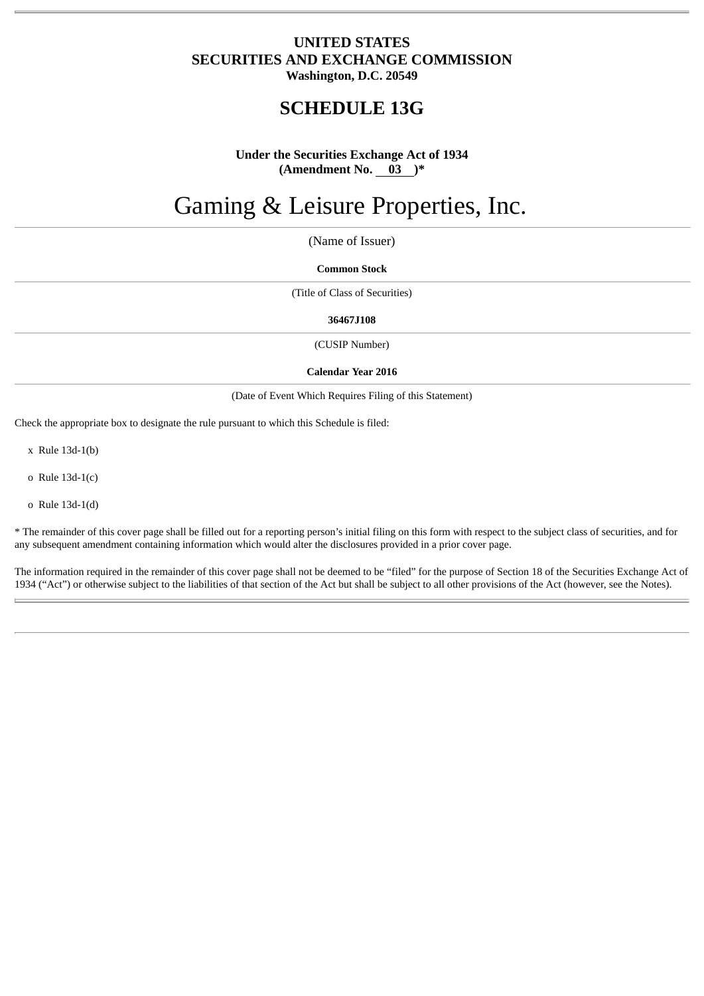# **UNITED STATES SECURITIES AND EXCHANGE COMMISSION Washington, D.C. 20549**

# **SCHEDULE 13G**

# **Under the Securities Exchange Act of 1934 (Amendment No. 03 )\***

# Gaming & Leisure Properties, Inc.

(Name of Issuer)

### **Common Stock**

(Title of Class of Securities)

#### **36467J108**

(CUSIP Number)

#### **Calendar Year 2016**

(Date of Event Which Requires Filing of this Statement)

Check the appropriate box to designate the rule pursuant to which this Schedule is filed:

x Rule 13d-1(b)

o Rule 13d-1(c)

o Rule 13d-1(d)

\* The remainder of this cover page shall be filled out for a reporting person's initial filing on this form with respect to the subject class of securities, and for any subsequent amendment containing information which would alter the disclosures provided in a prior cover page.

The information required in the remainder of this cover page shall not be deemed to be "filed" for the purpose of Section 18 of the Securities Exchange Act of 1934 ("Act") or otherwise subject to the liabilities of that section of the Act but shall be subject to all other provisions of the Act (however, see the Notes).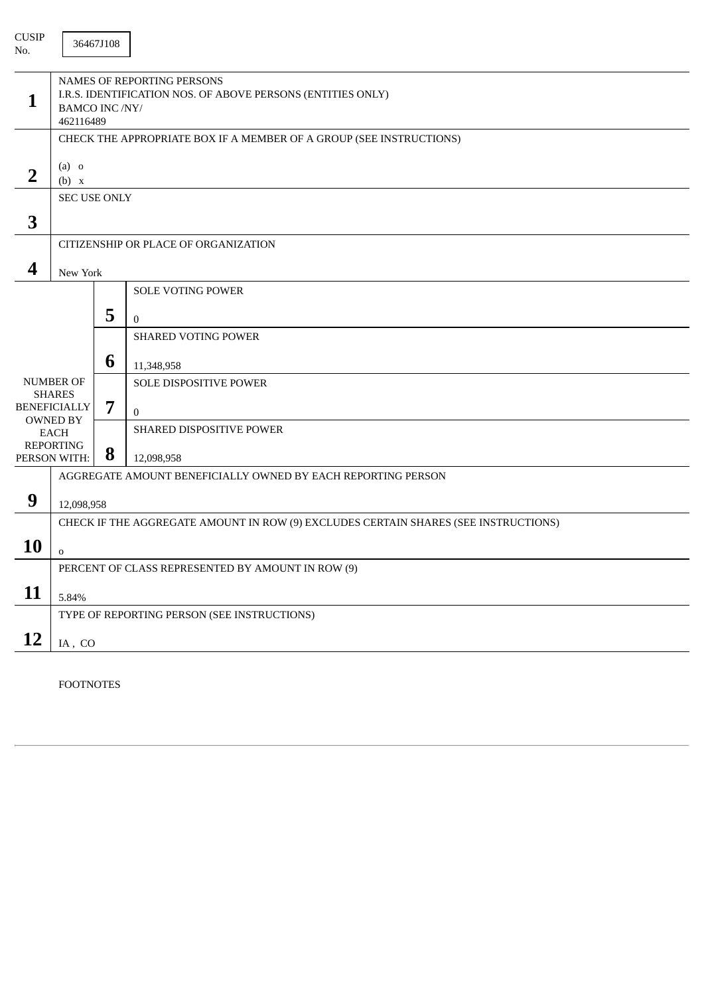| NAMES OF REPORTING PERSONS<br>I.R.S. IDENTIFICATION NOS. OF ABOVE PERSONS (ENTITIES ONLY)<br><b>BAMCO INC /NY/</b><br>462116489 |   |                                                                                     |  |
|---------------------------------------------------------------------------------------------------------------------------------|---|-------------------------------------------------------------------------------------|--|
| CHECK THE APPROPRIATE BOX IF A MEMBER OF A GROUP (SEE INSTRUCTIONS)                                                             |   |                                                                                     |  |
| $(a)$ o<br>(b) x                                                                                                                |   |                                                                                     |  |
|                                                                                                                                 |   |                                                                                     |  |
|                                                                                                                                 |   |                                                                                     |  |
|                                                                                                                                 |   | CITIZENSHIP OR PLACE OF ORGANIZATION                                                |  |
|                                                                                                                                 |   |                                                                                     |  |
|                                                                                                                                 |   | <b>SOLE VOTING POWER</b>                                                            |  |
|                                                                                                                                 | 5 | $\theta$                                                                            |  |
|                                                                                                                                 |   | <b>SHARED VOTING POWER</b>                                                          |  |
|                                                                                                                                 |   | 11,348,958                                                                          |  |
| <b>NUMBER OF</b><br><b>SHARES</b>                                                                                               |   | SOLE DISPOSITIVE POWER                                                              |  |
| <b>BENEFICIALLY</b>                                                                                                             | 7 | $\Omega$                                                                            |  |
| <b>OWNED BY</b><br>EACH                                                                                                         |   | SHARED DISPOSITIVE POWER                                                            |  |
| <b>REPORTING</b><br>PERSON WITH:                                                                                                | 8 | 12,098,958                                                                          |  |
|                                                                                                                                 |   | AGGREGATE AMOUNT BENEFICIALLY OWNED BY EACH REPORTING PERSON                        |  |
|                                                                                                                                 |   |                                                                                     |  |
|                                                                                                                                 |   | CHECK IF THE AGGREGATE AMOUNT IN ROW (9) EXCLUDES CERTAIN SHARES (SEE INSTRUCTIONS) |  |
| $\mathbf 0$                                                                                                                     |   |                                                                                     |  |
|                                                                                                                                 |   | PERCENT OF CLASS REPRESENTED BY AMOUNT IN ROW (9)                                   |  |
| 5.84%                                                                                                                           |   |                                                                                     |  |
|                                                                                                                                 |   | TYPE OF REPORTING PERSON (SEE INSTRUCTIONS)                                         |  |
|                                                                                                                                 |   |                                                                                     |  |
|                                                                                                                                 |   | 36467J108<br><b>SEC USE ONLY</b><br>New York<br>6<br>12,098,958<br>IA, CO           |  |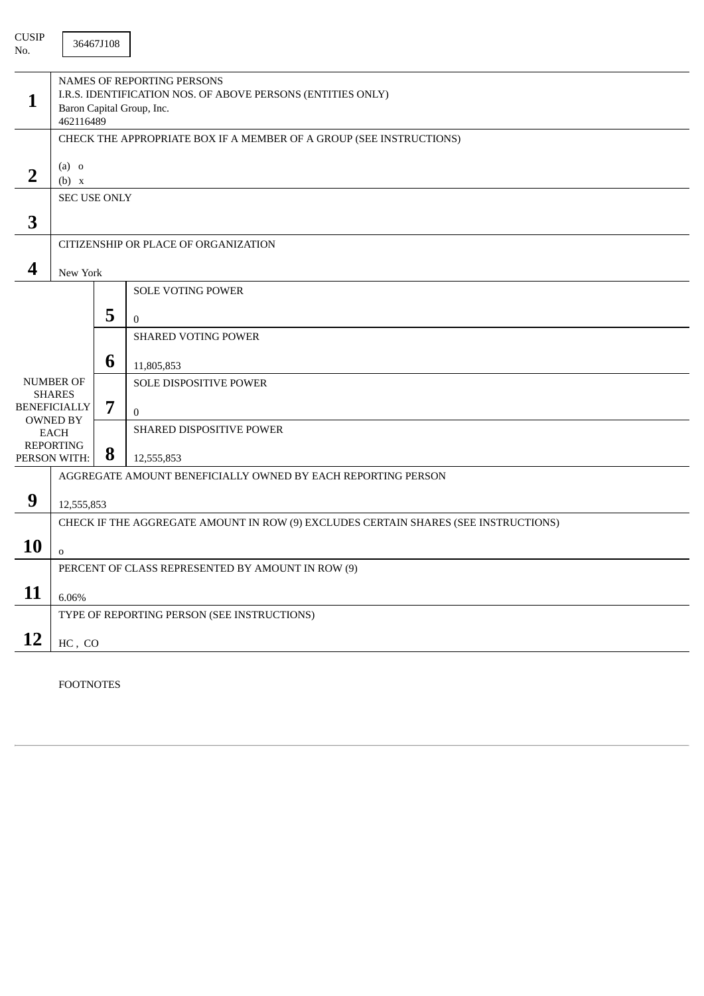| <b>CUSIP</b><br>No. |                                                                                                                                     | 36467J108 |                                                                                     |  |
|---------------------|-------------------------------------------------------------------------------------------------------------------------------------|-----------|-------------------------------------------------------------------------------------|--|
| $\mathbf{1}$        | NAMES OF REPORTING PERSONS<br>I.R.S. IDENTIFICATION NOS. OF ABOVE PERSONS (ENTITIES ONLY)<br>Baron Capital Group, Inc.<br>462116489 |           |                                                                                     |  |
|                     | CHECK THE APPROPRIATE BOX IF A MEMBER OF A GROUP (SEE INSTRUCTIONS)                                                                 |           |                                                                                     |  |
| $\overline{2}$      | $(a)$ o<br>(b) x                                                                                                                    |           |                                                                                     |  |
|                     | <b>SEC USE ONLY</b>                                                                                                                 |           |                                                                                     |  |
| 3                   |                                                                                                                                     |           |                                                                                     |  |
|                     |                                                                                                                                     |           | CITIZENSHIP OR PLACE OF ORGANIZATION                                                |  |
| 4                   | New York                                                                                                                            |           |                                                                                     |  |
|                     |                                                                                                                                     |           | <b>SOLE VOTING POWER</b>                                                            |  |
|                     |                                                                                                                                     | 5         | $\theta$                                                                            |  |
|                     |                                                                                                                                     |           | <b>SHARED VOTING POWER</b>                                                          |  |
|                     |                                                                                                                                     | 6         | 11,805,853                                                                          |  |
|                     | <b>NUMBER OF</b><br><b>SHARES</b>                                                                                                   |           | SOLE DISPOSITIVE POWER                                                              |  |
|                     | <b>BENEFICIALLY</b>                                                                                                                 | 7         | $\mathbf{0}$                                                                        |  |
|                     | <b>OWNED BY</b><br><b>EACH</b>                                                                                                      |           | SHARED DISPOSITIVE POWER                                                            |  |
|                     | <b>REPORTING</b><br>PERSON WITH:                                                                                                    |           | 12,555,853                                                                          |  |
|                     |                                                                                                                                     |           | AGGREGATE AMOUNT BENEFICIALLY OWNED BY EACH REPORTING PERSON                        |  |
| 9                   | 12,555,853                                                                                                                          |           |                                                                                     |  |
|                     |                                                                                                                                     |           | CHECK IF THE AGGREGATE AMOUNT IN ROW (9) EXCLUDES CERTAIN SHARES (SEE INSTRUCTIONS) |  |
| 10                  | $\mathbf 0$                                                                                                                         |           |                                                                                     |  |
|                     |                                                                                                                                     |           | PERCENT OF CLASS REPRESENTED BY AMOUNT IN ROW (9)                                   |  |
| 11                  | 6.06%                                                                                                                               |           |                                                                                     |  |
|                     |                                                                                                                                     |           | TYPE OF REPORTING PERSON (SEE INSTRUCTIONS)                                         |  |
| 12                  | $HC$ , $CO$                                                                                                                         |           |                                                                                     |  |
|                     |                                                                                                                                     |           |                                                                                     |  |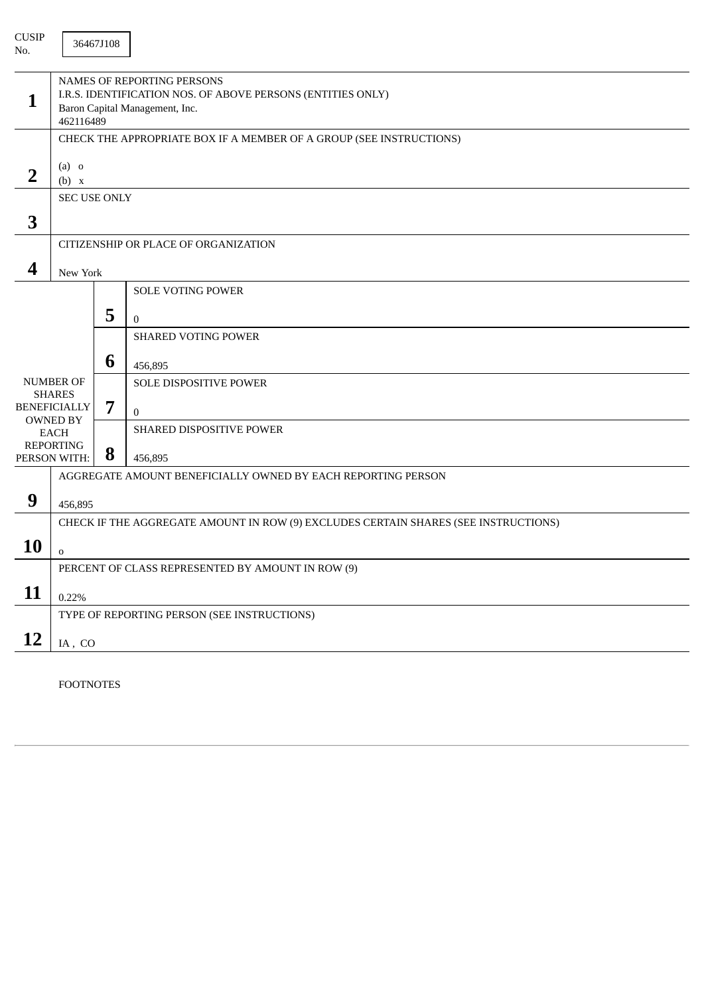| <b>CUSIP</b><br>No.              |                                                                                                                                          | 36467J108 |                                                                                     |
|----------------------------------|------------------------------------------------------------------------------------------------------------------------------------------|-----------|-------------------------------------------------------------------------------------|
| 1                                | NAMES OF REPORTING PERSONS<br>I.R.S. IDENTIFICATION NOS. OF ABOVE PERSONS (ENTITIES ONLY)<br>Baron Capital Management, Inc.<br>462116489 |           |                                                                                     |
|                                  | CHECK THE APPROPRIATE BOX IF A MEMBER OF A GROUP (SEE INSTRUCTIONS)                                                                      |           |                                                                                     |
| $\overline{2}$                   | $(a)$ o<br>(b) x                                                                                                                         |           |                                                                                     |
| 3                                | <b>SEC USE ONLY</b>                                                                                                                      |           |                                                                                     |
|                                  |                                                                                                                                          |           | CITIZENSHIP OR PLACE OF ORGANIZATION                                                |
| 4                                |                                                                                                                                          |           |                                                                                     |
|                                  | New York                                                                                                                                 |           | <b>SOLE VOTING POWER</b>                                                            |
|                                  |                                                                                                                                          | 5         |                                                                                     |
|                                  |                                                                                                                                          |           | $\mathbf{0}$<br><b>SHARED VOTING POWER</b>                                          |
|                                  |                                                                                                                                          |           |                                                                                     |
|                                  |                                                                                                                                          | 6         | 456,895                                                                             |
|                                  | <b>NUMBER OF</b><br><b>SHARES</b>                                                                                                        |           | SOLE DISPOSITIVE POWER                                                              |
|                                  | <b>BENEFICIALLY</b>                                                                                                                      | 7         | $\mathbf{0}$                                                                        |
| <b>OWNED BY</b><br><b>EACH</b>   |                                                                                                                                          |           | SHARED DISPOSITIVE POWER                                                            |
| <b>REPORTING</b><br>PERSON WITH: |                                                                                                                                          | 8         | 456,895                                                                             |
|                                  |                                                                                                                                          |           | AGGREGATE AMOUNT BENEFICIALLY OWNED BY EACH REPORTING PERSON                        |
| 9                                | 456,895                                                                                                                                  |           |                                                                                     |
|                                  |                                                                                                                                          |           | CHECK IF THE AGGREGATE AMOUNT IN ROW (9) EXCLUDES CERTAIN SHARES (SEE INSTRUCTIONS) |
| 10                               |                                                                                                                                          |           |                                                                                     |
|                                  | $\mathbf 0$                                                                                                                              |           |                                                                                     |
|                                  | PERCENT OF CLASS REPRESENTED BY AMOUNT IN ROW (9)                                                                                        |           |                                                                                     |
| 11                               | 0.22%                                                                                                                                    |           |                                                                                     |
|                                  |                                                                                                                                          |           | TYPE OF REPORTING PERSON (SEE INSTRUCTIONS)                                         |
| 12                               | IA, CO                                                                                                                                   |           |                                                                                     |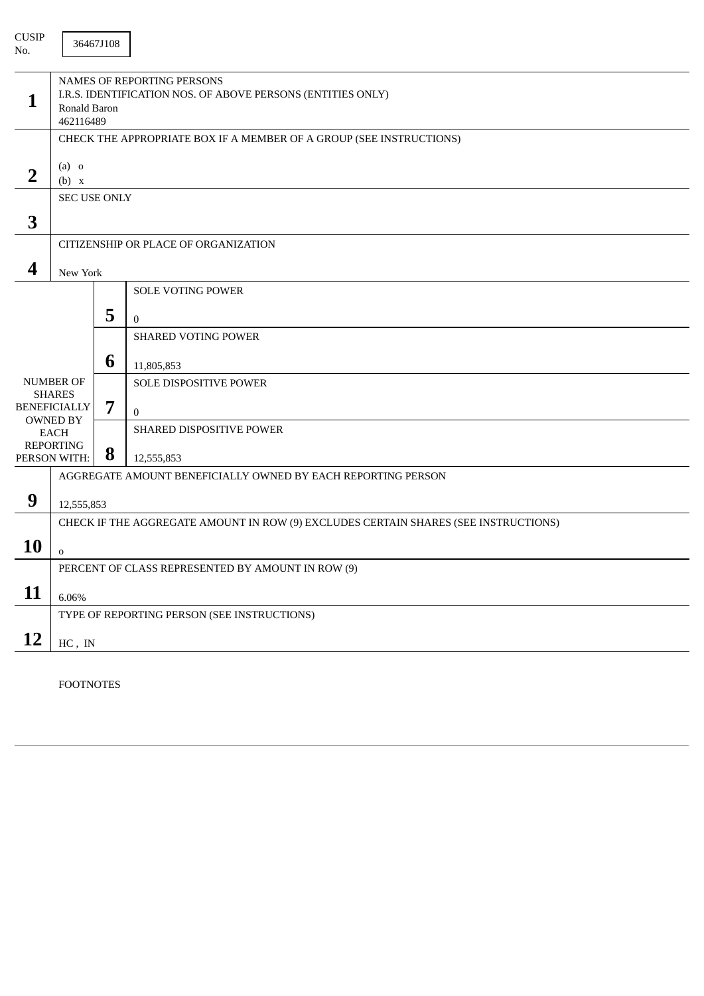| <b>CUSIP</b><br>No.               |                                                                                                                        | 36467J108 |                                                                                     |
|-----------------------------------|------------------------------------------------------------------------------------------------------------------------|-----------|-------------------------------------------------------------------------------------|
| 1                                 | NAMES OF REPORTING PERSONS<br>I.R.S. IDENTIFICATION NOS. OF ABOVE PERSONS (ENTITIES ONLY)<br>Ronald Baron<br>462116489 |           |                                                                                     |
|                                   |                                                                                                                        |           | CHECK THE APPROPRIATE BOX IF A MEMBER OF A GROUP (SEE INSTRUCTIONS)                 |
| $\overline{2}$                    | $(a)$ o<br>(b) x                                                                                                       |           |                                                                                     |
|                                   | <b>SEC USE ONLY</b>                                                                                                    |           |                                                                                     |
| 3                                 |                                                                                                                        |           |                                                                                     |
|                                   |                                                                                                                        |           | CITIZENSHIP OR PLACE OF ORGANIZATION                                                |
| 4                                 | New York                                                                                                               |           |                                                                                     |
|                                   |                                                                                                                        |           | <b>SOLE VOTING POWER</b>                                                            |
|                                   |                                                                                                                        | 5         | $\theta$                                                                            |
|                                   |                                                                                                                        |           | <b>SHARED VOTING POWER</b>                                                          |
|                                   |                                                                                                                        | 6         | 11,805,853                                                                          |
| <b>NUMBER OF</b><br><b>SHARES</b> |                                                                                                                        |           | SOLE DISPOSITIVE POWER                                                              |
|                                   | <b>BENEFICIALLY</b>                                                                                                    | 7         | $\Omega$                                                                            |
|                                   | <b>OWNED BY</b><br>EACH                                                                                                |           | SHARED DISPOSITIVE POWER                                                            |
|                                   | <b>REPORTING</b><br>PERSON WITH:                                                                                       | 8         | 12,555,853                                                                          |
|                                   |                                                                                                                        |           | AGGREGATE AMOUNT BENEFICIALLY OWNED BY EACH REPORTING PERSON                        |
| 9                                 | 12,555,853                                                                                                             |           |                                                                                     |
|                                   |                                                                                                                        |           | CHECK IF THE AGGREGATE AMOUNT IN ROW (9) EXCLUDES CERTAIN SHARES (SEE INSTRUCTIONS) |
| <b>10</b>                         | $\mathbf 0$                                                                                                            |           |                                                                                     |
|                                   |                                                                                                                        |           | PERCENT OF CLASS REPRESENTED BY AMOUNT IN ROW (9)                                   |
| 11                                | 6.06%                                                                                                                  |           |                                                                                     |
|                                   |                                                                                                                        |           | TYPE OF REPORTING PERSON (SEE INSTRUCTIONS)                                         |
| <b>12</b>                         | $HC$ , IN                                                                                                              |           |                                                                                     |
|                                   |                                                                                                                        |           |                                                                                     |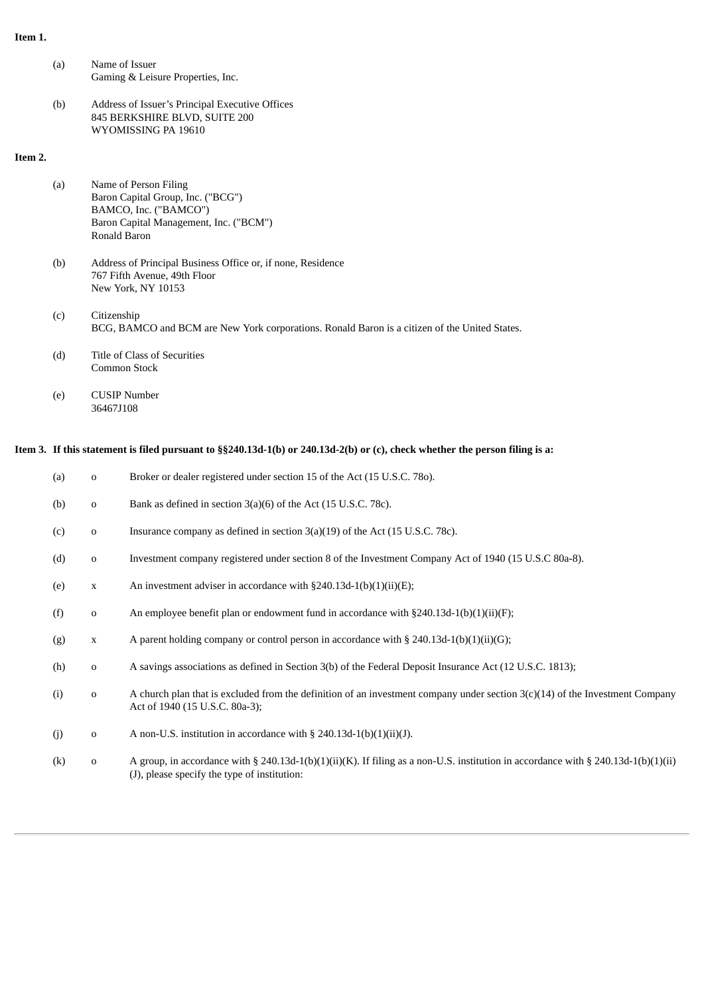# **Item 1.**

| (a) | Name of Issuer                    |
|-----|-----------------------------------|
|     | Gaming & Leisure Properties, Inc. |

(b) Address of Issuer's Principal Executive Offices 845 BERKSHIRE BLVD, SUITE 200 WYOMISSING PA 19610

# **Item 2.**

- (a) Name of Person Filing Baron Capital Group, Inc. ("BCG") BAMCO, Inc. ("BAMCO") Baron Capital Management, Inc. ("BCM") Ronald Baron
- (b) Address of Principal Business Office or, if none, Residence 767 Fifth Avenue, 49th Floor New York, NY 10153
- (c) Citizenship BCG, BAMCO and BCM are New York corporations. Ronald Baron is a citizen of the United States.
- (d) Title of Class of Securities Common Stock
- (e) CUSIP Number 36467J108

# Item 3. If this statement is filed pursuant to §§240.13d-1(b) or 240.13d-2(b) or (c), check whether the person filing is a:

| (a) | $\mathbf 0$ | Broker or dealer registered under section 15 of the Act (15 U.S.C. 780).                                                                                                           |
|-----|-------------|------------------------------------------------------------------------------------------------------------------------------------------------------------------------------------|
| (b) | $\mathbf 0$ | Bank as defined in section 3(a)(6) of the Act (15 U.S.C. 78c).                                                                                                                     |
| (c) | $\mathbf 0$ | Insurance company as defined in section $3(a)(19)$ of the Act (15 U.S.C. 78c).                                                                                                     |
| (d) | $\mathbf 0$ | Investment company registered under section 8 of the Investment Company Act of 1940 (15 U.S.C 80a-8).                                                                              |
| (e) | $\mathbf X$ | An investment adviser in accordance with $\S240.13d-1(b)(1)(ii)(E)$ ;                                                                                                              |
| (f) | $\mathbf 0$ | An employee benefit plan or endowment fund in accordance with $\S 240.13d-1(b)(1)(ii)(F)$ ;                                                                                        |
| (g) | $\mathbf X$ | A parent holding company or control person in accordance with § 240.13d-1(b)(1)(ii)(G);                                                                                            |
| (h) | $\mathbf 0$ | A savings associations as defined in Section 3(b) of the Federal Deposit Insurance Act (12 U.S.C. 1813);                                                                           |
| (i) | $\mathbf 0$ | A church plan that is excluded from the definition of an investment company under section $3(c)(14)$ of the Investment Company<br>Act of 1940 (15 U.S.C. 80a-3);                   |
| (i) | $\mathbf 0$ | A non-U.S. institution in accordance with $\S$ 240.13d-1(b)(1)(ii)(J).                                                                                                             |
| (k) | $\mathbf 0$ | A group, in accordance with § 240.13d-1(b)(1)(ii)(K). If filing as a non-U.S. institution in accordance with § 240.13d-1(b)(1)(ii)<br>(J), please specify the type of institution: |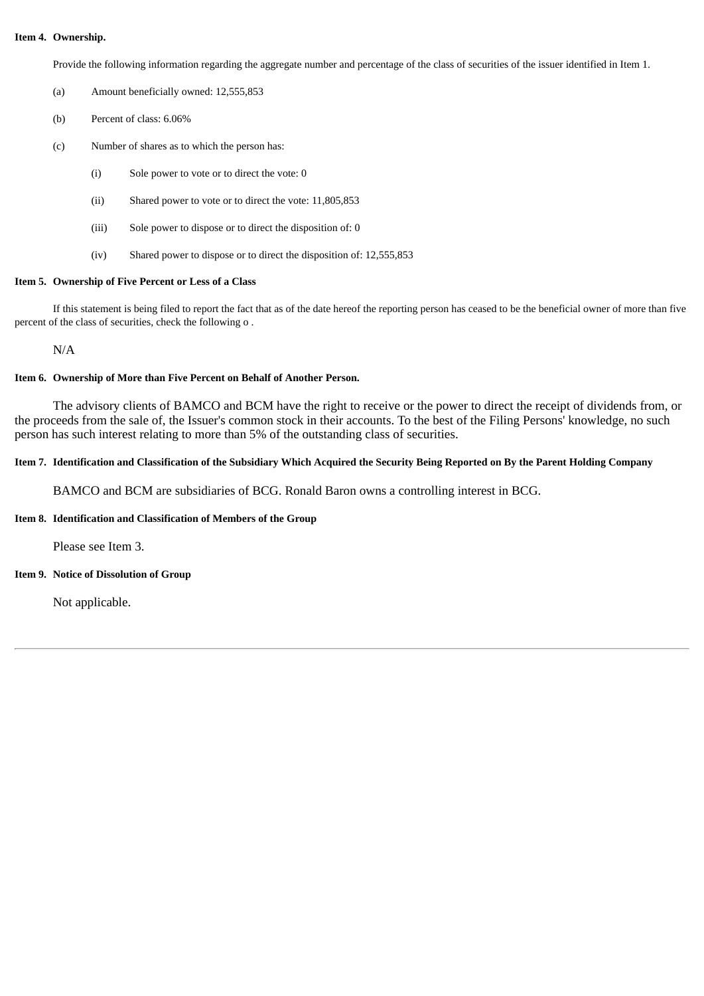#### **Item 4. Ownership.**

Provide the following information regarding the aggregate number and percentage of the class of securities of the issuer identified in Item 1.

- (a) Amount beneficially owned: 12,555,853
- (b) Percent of class: 6.06%
- (c) Number of shares as to which the person has:
	- (i) Sole power to vote or to direct the vote: 0
	- (ii) Shared power to vote or to direct the vote: 11,805,853
	- (iii) Sole power to dispose or to direct the disposition of: 0
	- (iv) Shared power to dispose or to direct the disposition of: 12,555,853

### **Item 5. Ownership of Five Percent or Less of a Class**

If this statement is being filed to report the fact that as of the date hereof the reporting person has ceased to be the beneficial owner of more than five percent of the class of securities, check the following o .

N/A

### **Item 6. Ownership of More than Five Percent on Behalf of Another Person.**

The advisory clients of BAMCO and BCM have the right to receive or the power to direct the receipt of dividends from, or the proceeds from the sale of, the Issuer's common stock in their accounts. To the best of the Filing Persons' knowledge, no such person has such interest relating to more than 5% of the outstanding class of securities.

# Item 7. Identification and Classification of the Subsidiary Which Acquired the Security Being Reported on By the Parent Holding Company

BAMCO and BCM are subsidiaries of BCG. Ronald Baron owns a controlling interest in BCG.

## **Item 8. Identification and Classification of Members of the Group**

Please see Item 3.

# **Item 9. Notice of Dissolution of Group**

Not applicable.